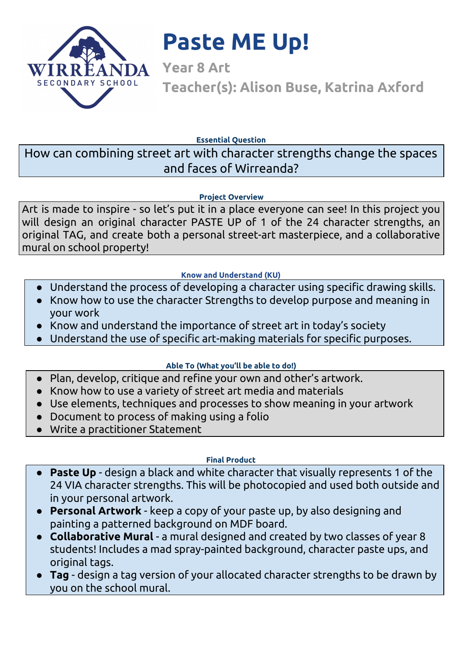

# **Paste ME Up!**

**Year 8 Art Teacher(s): Alison Buse, Katrina Axford**

**Essential Question**

How can combining street art with character strengths change the spaces and faces of Wirreanda?

#### **Project Overview**

Art is made to inspire - so let's put it in a place everyone can see! In this project you will design an original character PASTE UP of 1 of the 24 character strengths, an original TAG, and create both a personal street-art masterpiece, and a collaborative mural on school property!

#### **Know and Understand (KU)**

- Understand the process of developing a character using specific drawing skills.
- Know how to use the character Strengths to develop purpose and meaning in your work
- Know and understand the importance of street art in today's society
- Understand the use of specific art-making materials for specific purposes.

#### **Able To (What you'll be able to do!)**

- Plan, develop, critique and refine your own and other's artwork.
- Know how to use a variety of street art media and materials
- Use elements, techniques and processes to show meaning in your artwork
- Document to process of making using a folio
- Write a practitioner Statement

#### **Final Product**

- Paste Up design a black and white character that visually represents 1 of the 24 VIA character strengths. This will be photocopied and used both outside and in your personal artwork.
- **Personal Artwork** keep a copy of your paste up, by also designing and painting a patterned background on MDF board.
- **● Collaborative Mural** a mural designed and created by two classes of year 8 students! Includes a mad spray-painted background, character paste ups, and original tags.
- **Tag** design a tag version of your allocated character strengths to be drawn by you on the school mural.